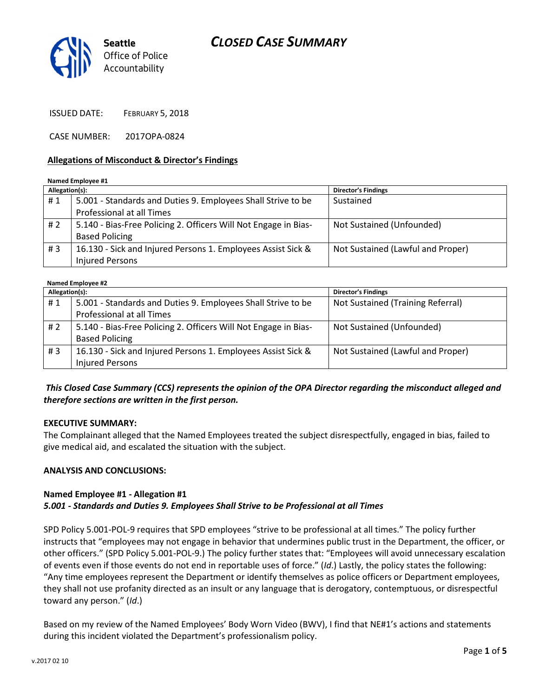## CLOSED CASE SUMMARY



ISSUED DATE: FEBRUARY 5, 2018

CASE NUMBER: 2017OPA-0824

### Allegations of Misconduct & Director's Findings

#### Named Employee #1 Allegation(s): Director's Findings #1 | 5.001 - Standards and Duties 9. Employees Shall Strive to be Professional at all Times Sustained # 2 | 5.140 - Bias-Free Policing 2. Officers Will Not Engage in Bias-Based Policing Not Sustained (Unfounded) # 3 16.130 - Sick and Injured Persons 1. Employees Assist Sick & Injured Persons Not Sustained (Lawful and Proper)

#### Named Employee #2 Allegation(s): Director's Findings # 1 | 5.001 - Standards and Duties 9. Employees Shall Strive to be Professional at all Times Not Sustained (Training Referral) # 2 | 5.140 - Bias-Free Policing 2. Officers Will Not Engage in Bias-Based Policing Not Sustained (Unfounded) # 3 16.130 - Sick and Injured Persons 1. Employees Assist Sick & Injured Persons Not Sustained (Lawful and Proper)

## This Closed Case Summary (CCS) represents the opinion of the OPA Director regarding the misconduct alleged and therefore sections are written in the first person.

### EXECUTIVE SUMMARY:

The Complainant alleged that the Named Employees treated the subject disrespectfully, engaged in bias, failed to give medical aid, and escalated the situation with the subject.

### ANALYSIS AND CONCLUSIONS:

### Named Employee #1 - Allegation #1

### 5.001 - Standards and Duties 9. Employees Shall Strive to be Professional at all Times

SPD Policy 5.001-POL-9 requires that SPD employees "strive to be professional at all times." The policy further instructs that "employees may not engage in behavior that undermines public trust in the Department, the officer, or other officers." (SPD Policy 5.001-POL-9.) The policy further states that: "Employees will avoid unnecessary escalation of events even if those events do not end in reportable uses of force." (Id.) Lastly, the policy states the following: "Any time employees represent the Department or identify themselves as police officers or Department employees, they shall not use profanity directed as an insult or any language that is derogatory, contemptuous, or disrespectful toward any person." (Id.)

Based on my review of the Named Employees' Body Worn Video (BWV), I find that NE#1's actions and statements during this incident violated the Department's professionalism policy.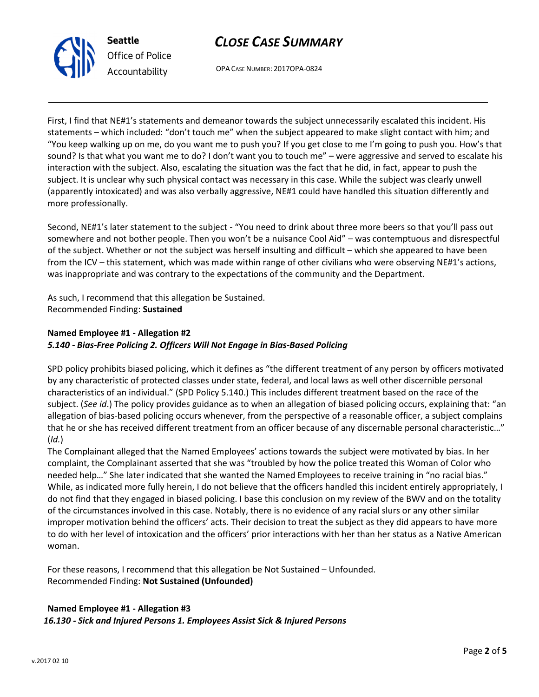



OPA CASE NUMBER: 2017OPA-0824

First, I find that NE#1's statements and demeanor towards the subject unnecessarily escalated this incident. His statements – which included: "don't touch me" when the subject appeared to make slight contact with him; and "You keep walking up on me, do you want me to push you? If you get close to me I'm going to push you. How's that sound? Is that what you want me to do? I don't want you to touch me" – were aggressive and served to escalate his interaction with the subject. Also, escalating the situation was the fact that he did, in fact, appear to push the subject. It is unclear why such physical contact was necessary in this case. While the subject was clearly unwell (apparently intoxicated) and was also verbally aggressive, NE#1 could have handled this situation differently and more professionally.

Second, NE#1's later statement to the subject - "You need to drink about three more beers so that you'll pass out somewhere and not bother people. Then you won't be a nuisance Cool Aid" – was contemptuous and disrespectful of the subject. Whether or not the subject was herself insulting and difficult – which she appeared to have been from the ICV – this statement, which was made within range of other civilians who were observing NE#1's actions, was inappropriate and was contrary to the expectations of the community and the Department.

As such, I recommend that this allegation be Sustained. Recommended Finding: Sustained

# Named Employee #1 - Allegation #2

## 5.140 - Bias-Free Policing 2. Officers Will Not Engage in Bias-Based Policing

SPD policy prohibits biased policing, which it defines as "the different treatment of any person by officers motivated by any characteristic of protected classes under state, federal, and local laws as well other discernible personal characteristics of an individual." (SPD Policy 5.140.) This includes different treatment based on the race of the subject. (See id.) The policy provides guidance as to when an allegation of biased policing occurs, explaining that: "an allegation of bias-based policing occurs whenever, from the perspective of a reasonable officer, a subject complains that he or she has received different treatment from an officer because of any discernable personal characteristic…" (Id.)

The Complainant alleged that the Named Employees' actions towards the subject were motivated by bias. In her complaint, the Complainant asserted that she was "troubled by how the police treated this Woman of Color who needed help…" She later indicated that she wanted the Named Employees to receive training in "no racial bias." While, as indicated more fully herein, I do not believe that the officers handled this incident entirely appropriately, I do not find that they engaged in biased policing. I base this conclusion on my review of the BWV and on the totality of the circumstances involved in this case. Notably, there is no evidence of any racial slurs or any other similar improper motivation behind the officers' acts. Their decision to treat the subject as they did appears to have more to do with her level of intoxication and the officers' prior interactions with her than her status as a Native American woman.

For these reasons, I recommend that this allegation be Not Sustained – Unfounded. Recommended Finding: Not Sustained (Unfounded)

## Named Employee #1 - Allegation #3

16.130 - Sick and Injured Persons 1. Employees Assist Sick & Injured Persons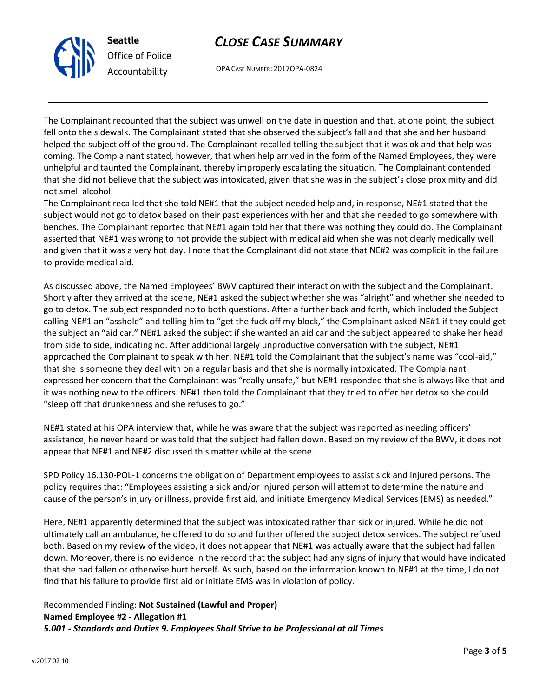## CLOSE CASE SUMMARY



OPA CASE NUMBER: 2017OPA-0824

The Complainant recounted that the subject was unwell on the date in question and that, at one point, the subject fell onto the sidewalk. The Complainant stated that she observed the subject's fall and that she and her husband helped the subject off of the ground. The Complainant recalled telling the subject that it was ok and that help was coming. The Complainant stated, however, that when help arrived in the form of the Named Employees, they were unhelpful and taunted the Complainant, thereby improperly escalating the situation. The Complainant contended that she did not believe that the subject was intoxicated, given that she was in the subject's close proximity and did not smell alcohol.

The Complainant recalled that she told NE#1 that the subject needed help and, in response, NE#1 stated that the subject would not go to detox based on their past experiences with her and that she needed to go somewhere with benches. The Complainant reported that NE#1 again told her that there was nothing they could do. The Complainant asserted that NE#1 was wrong to not provide the subject with medical aid when she was not clearly medically well and given that it was a very hot day. I note that the Complainant did not state that NE#2 was complicit in the failure to provide medical aid.

As discussed above, the Named Employees' BWV captured their interaction with the subject and the Complainant. Shortly after they arrived at the scene, NE#1 asked the subject whether she was "alright" and whether she needed to go to detox. The subject responded no to both questions. After a further back and forth, which included the Subject calling NE#1 an "asshole" and telling him to "get the fuck off my block," the Complainant asked NE#1 if they could get the subject an "aid car." NE#1 asked the subject if she wanted an aid car and the subject appeared to shake her head from side to side, indicating no. After additional largely unproductive conversation with the subject, NE#1 approached the Complainant to speak with her. NE#1 told the Complainant that the subject's name was "cool-aid," that she is someone they deal with on a regular basis and that she is normally intoxicated. The Complainant expressed her concern that the Complainant was "really unsafe," but NE#1 responded that she is always like that and it was nothing new to the officers. NE#1 then told the Complainant that they tried to offer her detox so she could "sleep off that drunkenness and she refuses to go."

NE#1 stated at his OPA interview that, while he was aware that the subject was reported as needing officers' assistance, he never heard or was told that the subject had fallen down. Based on my review of the BWV, it does not appear that NE#1 and NE#2 discussed this matter while at the scene.

SPD Policy 16.130-POL-1 concerns the obligation of Department employees to assist sick and injured persons. The policy requires that: "Employees assisting a sick and/or injured person will attempt to determine the nature and cause of the person's injury or illness, provide first aid, and initiate Emergency Medical Services (EMS) as needed."

Here, NE#1 apparently determined that the subject was intoxicated rather than sick or injured. While he did not ultimately call an ambulance, he offered to do so and further offered the subject detox services. The subject refused both. Based on my review of the video, it does not appear that NE#1 was actually aware that the subject had fallen down. Moreover, there is no evidence in the record that the subject had any signs of injury that would have indicated that she had fallen or otherwise hurt herself. As such, based on the information known to NE#1 at the time, I do not find that his failure to provide first aid or initiate EMS was in violation of policy.

Recommended Finding: Not Sustained (Lawful and Proper) Named Employee #2 - Allegation #1 5.001 - Standards and Duties 9. Employees Shall Strive to be Professional at all Times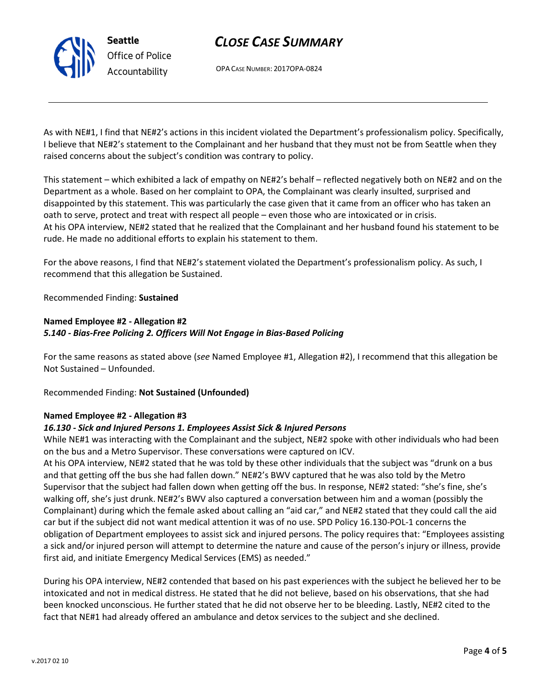# CLOSE CASE SUMMARY

OPA CASE NUMBER: 2017OPA-0824

As with NE#1, I find that NE#2's actions in this incident violated the Department's professionalism policy. Specifically, I believe that NE#2's statement to the Complainant and her husband that they must not be from Seattle when they raised concerns about the subject's condition was contrary to policy.

This statement – which exhibited a lack of empathy on NE#2's behalf – reflected negatively both on NE#2 and on the Department as a whole. Based on her complaint to OPA, the Complainant was clearly insulted, surprised and disappointed by this statement. This was particularly the case given that it came from an officer who has taken an oath to serve, protect and treat with respect all people – even those who are intoxicated or in crisis. At his OPA interview, NE#2 stated that he realized that the Complainant and her husband found his statement to be rude. He made no additional efforts to explain his statement to them.

For the above reasons, I find that NE#2's statement violated the Department's professionalism policy. As such, I recommend that this allegation be Sustained.

## Recommended Finding: Sustained

## Named Employee #2 - Allegation #2 5.140 - Bias-Free Policing 2. Officers Will Not Engage in Bias-Based Policing

For the same reasons as stated above (see Named Employee #1, Allegation #2), I recommend that this allegation be Not Sustained – Unfounded.

Recommended Finding: Not Sustained (Unfounded)

## Named Employee #2 - Allegation #3

## 16.130 - Sick and Injured Persons 1. Employees Assist Sick & Injured Persons

While NE#1 was interacting with the Complainant and the subject, NE#2 spoke with other individuals who had been on the bus and a Metro Supervisor. These conversations were captured on ICV.

At his OPA interview, NE#2 stated that he was told by these other individuals that the subject was "drunk on a bus and that getting off the bus she had fallen down." NE#2's BWV captured that he was also told by the Metro Supervisor that the subject had fallen down when getting off the bus. In response, NE#2 stated: "she's fine, she's walking off, she's just drunk. NE#2's BWV also captured a conversation between him and a woman (possibly the Complainant) during which the female asked about calling an "aid car," and NE#2 stated that they could call the aid car but if the subject did not want medical attention it was of no use. SPD Policy 16.130-POL-1 concerns the obligation of Department employees to assist sick and injured persons. The policy requires that: "Employees assisting a sick and/or injured person will attempt to determine the nature and cause of the person's injury or illness, provide first aid, and initiate Emergency Medical Services (EMS) as needed."

During his OPA interview, NE#2 contended that based on his past experiences with the subject he believed her to be intoxicated and not in medical distress. He stated that he did not believe, based on his observations, that she had been knocked unconscious. He further stated that he did not observe her to be bleeding. Lastly, NE#2 cited to the fact that NE#1 had already offered an ambulance and detox services to the subject and she declined.



Seattle Office of Police Accountability